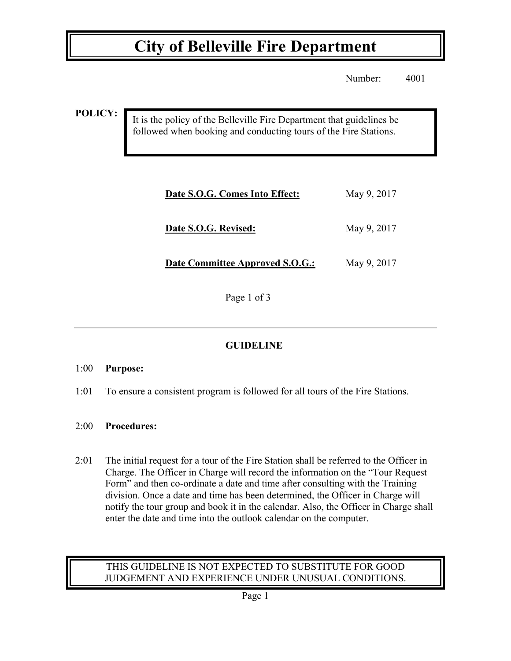# **City of Belleville Fire Department**

Number: 4001

**POLICY:**

It is the policy of the Belleville Fire Department that guidelines be followed when booking and conducting tours of the Fire Stations.

| Date S.O.G. Comes Into Effect:         | May 9, 2017 |
|----------------------------------------|-------------|
| Date S.O.G. Revised:                   | May 9, 2017 |
| <b>Date Committee Approved S.O.G.:</b> | May 9, 2017 |

Page 1 of 3

### **GUIDELINE**

### 1:00 **Purpose:**

1:01 To ensure a consistent program is followed for all tours of the Fire Stations.

### 2:00 **Procedures:**

2:01 The initial request for a tour of the Fire Station shall be referred to the Officer in Charge. The Officer in Charge will record the information on the "Tour Request Form" and then co-ordinate a date and time after consulting with the Training division. Once a date and time has been determined, the Officer in Charge will notify the tour group and book it in the calendar. Also, the Officer in Charge shall enter the date and time into the outlook calendar on the computer.

### THIS GUIDELINE IS NOT EXPECTED TO SUBSTITUTE FOR GOOD JUDGEMENT AND EXPERIENCE UNDER UNUSUAL CONDITIONS.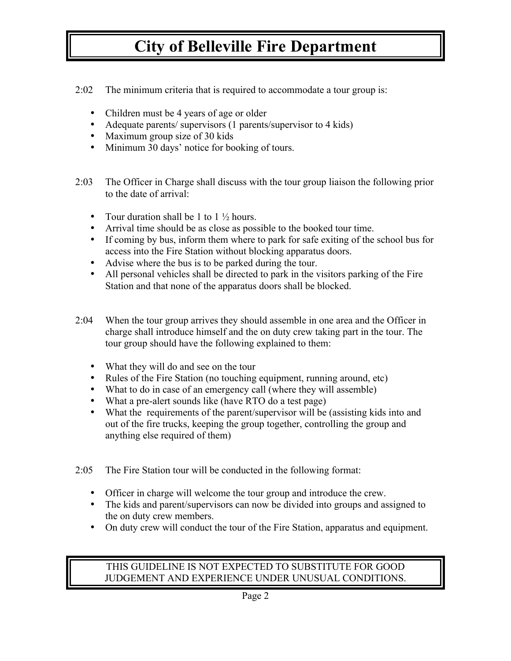# **City of Belleville Fire Department**

- 2:02 The minimum criteria that is required to accommodate a tour group is:
	- Children must be 4 years of age or older
	- Adequate parents/ supervisors (1 parents/supervisor to 4 kids)
	- Maximum group size of 30 kids
	- Minimum 30 days' notice for booking of tours.
- 2:03 The Officer in Charge shall discuss with the tour group liaison the following prior to the date of arrival:
	- Tour duration shall be 1 to  $1\frac{1}{2}$  hours.
	- Arrival time should be as close as possible to the booked tour time.
	- If coming by bus, inform them where to park for safe exiting of the school bus for access into the Fire Station without blocking apparatus doors.
	- Advise where the bus is to be parked during the tour.
	- All personal vehicles shall be directed to park in the visitors parking of the Fire Station and that none of the apparatus doors shall be blocked.
- 2:04 When the tour group arrives they should assemble in one area and the Officer in charge shall introduce himself and the on duty crew taking part in the tour. The tour group should have the following explained to them:
	- What they will do and see on the tour
	- Rules of the Fire Station (no touching equipment, running around, etc)
	- What to do in case of an emergency call (where they will assemble)
	- What a pre-alert sounds like (have RTO do a test page)
	- What the requirements of the parent/supervisor will be (assisting kids into and out of the fire trucks, keeping the group together, controlling the group and anything else required of them)
- 2:05 The Fire Station tour will be conducted in the following format:
	- Officer in charge will welcome the tour group and introduce the crew.
	- The kids and parent/supervisors can now be divided into groups and assigned to the on duty crew members.
	- On duty crew will conduct the tour of the Fire Station, apparatus and equipment.

#### THIS GUIDELINE IS NOT EXPECTED TO SUBSTITUTE FOR GOOD JUDGEMENT AND EXPERIENCE UNDER UNUSUAL CONDITIONS.